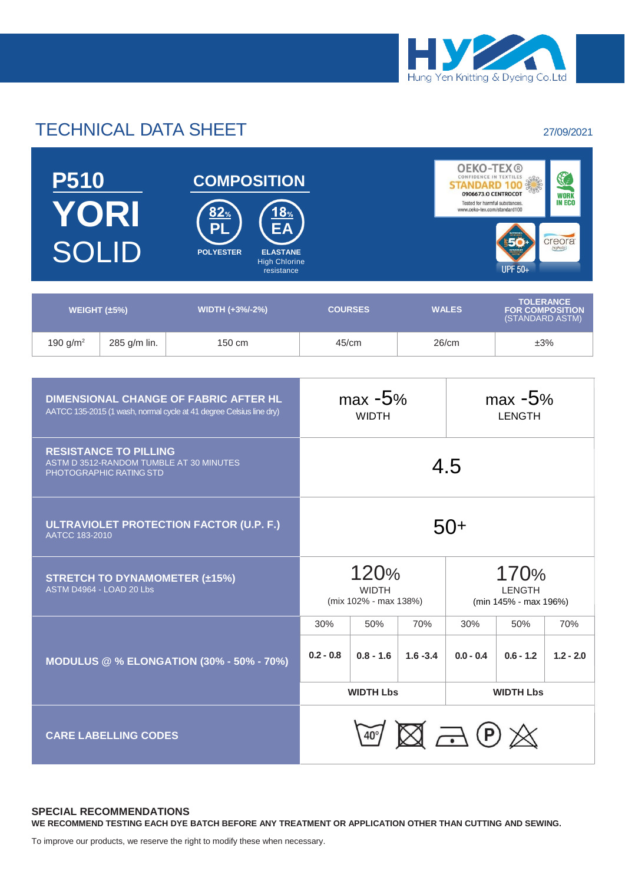

## TECHNICAL DATA SHEET 27/09/2021



| WEIGHT $(\pm 5\%)$ |              | <b>WIDTH (+3%/-2%)</b> | <b>COURSES</b> | <b>WALES</b> | <b>IOLERANCE</b><br><b>FOR COMPOSITION</b><br>(STANDARD ASTM) |  |
|--------------------|--------------|------------------------|----------------|--------------|---------------------------------------------------------------|--|
| 190 $g/m^2$        | 285 g/m lin. | 150 cm                 | 45/cm          | 26/cm        | ±3%                                                           |  |

| <b>DIMENSIONAL CHANGE OF FABRIC AFTER HL</b><br>AATCC 135-2015 (1 wash, normal cycle at 41 degree Celsius line dry) | $max -5%$<br><b>WIDTH</b> |                                                                                                 |             | $max -5%$<br><b>LENGTH</b>                          |             |             |
|---------------------------------------------------------------------------------------------------------------------|---------------------------|-------------------------------------------------------------------------------------------------|-------------|-----------------------------------------------------|-------------|-------------|
| <b>RESISTANCE TO PILLING</b><br>ASTM D 3512-RANDOM TUMBLE AT 30 MINUTES<br>PHOTOGRAPHIC RATING STD                  | 4.5                       |                                                                                                 |             |                                                     |             |             |
| ULTRAVIOLET PROTECTION FACTOR (U.P. F.)<br>AATCC 183-2010                                                           | 50+                       |                                                                                                 |             |                                                     |             |             |
| <b>STRETCH TO DYNAMOMETER (±15%)</b><br>ASTM D4964 - LOAD 20 Lbs                                                    |                           | 120%<br>170%<br><b>WIDTH</b><br><b>LENGTH</b><br>(mix 102% - max 138%)<br>(min 145% - max 196%) |             |                                                     |             |             |
|                                                                                                                     | 30%                       | 50%                                                                                             | 70%         | 30%                                                 | 50%         | 70%         |
| <b>MODULUS @ % ELONGATION (30% - 50% - 70%)</b>                                                                     | $0.2 - 0.8$               | $0.8 - 1.6$                                                                                     | $1.6 - 3.4$ | $0.0 - 0.4$                                         | $0.6 - 1.2$ | $1.2 - 2.0$ |
|                                                                                                                     | <b>WIDTH Lbs</b>          |                                                                                                 |             | <b>WIDTH Lbs</b>                                    |             |             |
| <b>CARE LABELLING CODES</b>                                                                                         |                           |                                                                                                 |             | $\mathbb{Z} \boxtimes \mathbb{Z} \oplus \mathbb{Z}$ |             |             |

## **SPECIAL RECOMMENDATIONS**

**WE RECOMMEND TESTING EACH DYE BATCH BEFORE ANY TREATMENT OR APPLICATION OTHER THAN CUTTING AND SEWING.**